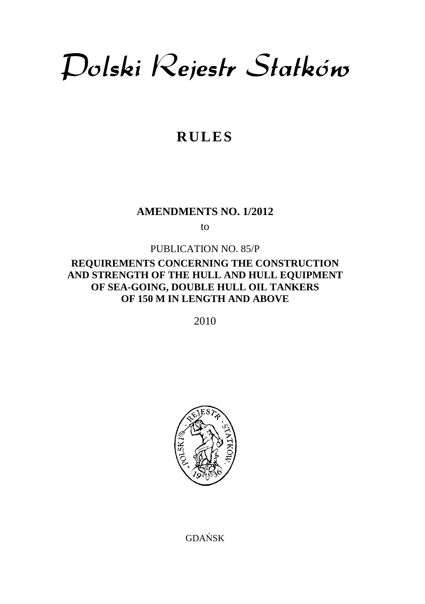Dolski Rejestr Statków

# **RULES**

## **AMENDMENTS NO. 1/2012**

to

### PUBLICATION NO. 85/P

## **REQUIREMENTS CONCERNING THE CONSTRUCTION AND STRENGTH OF THE HULL AND HULL EQUIPMENT OF SEA-GOING, DOUBLE HULL OIL TANKERS OF 150 M IN LENGTH AND ABOVE**

2010



GDAŃSK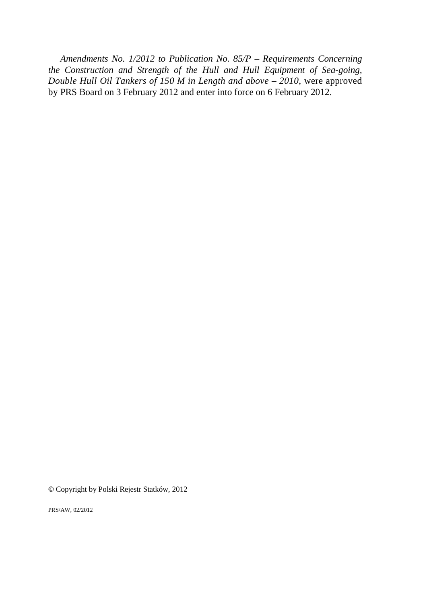*Amendments No. 1/2012 to Publication No. 85/P – Requirements Concerning the Construction and Strength of the Hull and Hull Equipment of Sea-going, Double Hull Oil Tankers of 150 M in Length and above – 2010*, were approved by PRS Board on 3 February 2012 and enter into force on 6 February 2012.

**©** Copyright by Polski Rejestr Statków, 2012

PRS/AW, 02/2012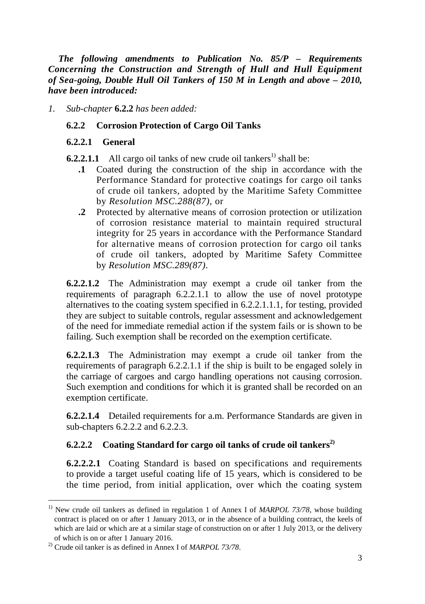*The following amendments to Publication No. 85/P – Requirements Concerning the Construction and Strength of Hull and Hull Equipment of Sea-going, Double Hull Oil Tankers of 150 M in Length and above – 2010, have been introduced:* 

*1. Sub-chapter* **6.2.2** *has been added:* 

#### **6.2.2 Corrosion Protection of Cargo Oil Tanks**

#### **6.2.2.1 General**

**6.2.2.1.1** All cargo oil tanks of new crude oil tankers<sup>1)</sup> shall be:

- **.1** Coated during the construction of the ship in accordance with the Performance Standard for protective coatings for cargo oil tanks of crude oil tankers, adopted by the Maritime Safety Committee by *Resolution MSC.288(87),* or
- **.2** Protected by alternative means of corrosion protection or utilization of corrosion resistance material to maintain required structural integrity for 25 years in accordance with the Performance Standard for alternative means of corrosion protection for cargo oil tanks of crude oil tankers, adopted by Maritime Safety Committee by *Resolution MSC.289(87)*.

**6.2.2.1.2** The Administration may exempt a crude oil tanker from the requirements of paragraph 6.2.2.1.1 to allow the use of novel prototype alternatives to the coating system specified in 6.2.2.1.1.1, for testing, provided they are subject to suitable controls, regular assessment and acknowledgement of the need for immediate remedial action if the system fails or is shown to be failing. Such exemption shall be recorded on the exemption certificate.

**6.2.2.1.3** The Administration may exempt a crude oil tanker from the requirements of paragraph 6.2.2.1.1 if the ship is built to be engaged solely in the carriage of cargoes and cargo handling operations not causing corrosion. Such exemption and conditions for which it is granted shall be recorded on an exemption certificate.

**6.2.2.1.4** Detailed requirements for a.m. Performance Standards are given in sub-chapters 6.2.2.2 and 6.2.2.3.

## **6.2.2.2 Coating Standard for cargo oil tanks of crude oil tankers2)**

**6.2.2.2.1** Coating Standard is based on specifications and requirements to provide a target useful coating life of 15 years, which is considered to be the time period, from initial application, over which the coating system

l

<sup>&</sup>lt;sup>1)</sup> New crude oil tankers as defined in regulation 1 of Annex I of *MARPOL 73/78*, whose building contract is placed on or after 1 January 2013, or in the absence of a building contract, the keels of which are laid or which are at a similar stage of construction on or after 1 July 2013, or the delivery of which is on or after 1 January 2016.

<sup>2)</sup> Crude oil tanker is as defined in Annex I of *MARPOL 73/78*.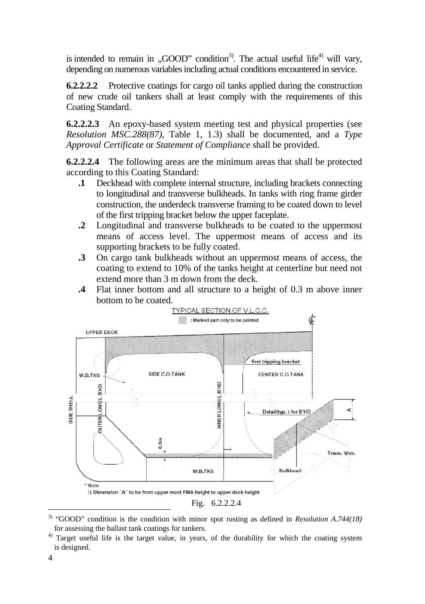is intended to remain in "GOOD" condition<sup>3)</sup>. The actual useful life<sup>4)</sup> will vary, depending on numerous variables including actual conditions encountered in service.

**6.2.2.2.2** Protective coatings for cargo oil tanks applied during the construction of new crude oil tankers shall at least comply with the requirements of this Coating Standard.

**6.2.2.2.3** An epoxy-based system meeting test and physical properties (see *Resolution MSC.288(87)*, Table 1, 1.3) shall be documented, and a *Type Approval Certificate* or *Statement of Compliance* shall be provided.

**6.2.2.2.4** The following areas are the minimum areas that shall be protected according to this Coating Standard:

- **.1** Deckhead with complete internal structure, including brackets connecting to longitudinal and transverse bulkheads. In tanks with ring frame girder construction, the underdeck transverse framing to be coated down to level of the first tripping bracket below the upper faceplate.
- **.2** Longitudinal and transverse bulkheads to be coated to the uppermost means of access level. The uppermost means of access and its supporting brackets to be fully coated.
- **.3** On cargo tank bulkheads without an uppermost means of access, the coating to extend to 10% of the tanks height at centerline but need not extend more than 3 m down from the deck.
- **.4** Flat inner bottom and all structure to a height of 0.3 m above inner bottom to be coated.



<sup>3)</sup> "GOOD" condition is the condition with minor spot rusting as defined in *Resolution A.744(18)* for assessing the ballast tank coatings for tankers.

 $\overline{a}$ 

<sup>&</sup>lt;sup>4)</sup> Target useful life is the target value, in years, of the durability for which the coating system is designed.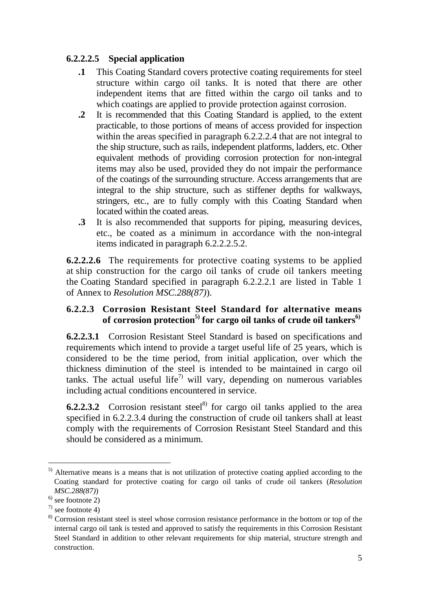## **6.2.2.2.5 Special application**

- **.1** This Coating Standard covers protective coating requirements for steel structure within cargo oil tanks. It is noted that there are other independent items that are fitted within the cargo oil tanks and to which coatings are applied to provide protection against corrosion.
- **.2** It is recommended that this Coating Standard is applied, to the extent practicable, to those portions of means of access provided for inspection within the areas specified in paragraph 6.2.2.2.4 that are not integral to the ship structure, such as rails, independent platforms, ladders, etc. Other equivalent methods of providing corrosion protection for non-integral items may also be used, provided they do not impair the performance of the coatings of the surrounding structure. Access arrangements that are integral to the ship structure, such as stiffener depths for walkways, stringers, etc., are to fully comply with this Coating Standard when located within the coated areas.
- **.3** It is also recommended that supports for piping, measuring devices, etc., be coated as a minimum in accordance with the non-integral items indicated in paragraph 6.2.2.2.5.2.

**6.2.2.2.6** The requirements for protective coating systems to be applied at ship construction for the cargo oil tanks of crude oil tankers meeting the Coating Standard specified in paragraph 6.2.2.2.1 are listed in Table 1 of Annex to *Resolution MSC.288(87)*).

## **6.2.2.3 Corrosion Resistant Steel Standard for alternative means of corrosion protection5) for cargo oil tanks of crude oil tankers6)**

**6.2.2.3.1** Corrosion Resistant Steel Standard is based on specifications and requirements which intend to provide a target useful life of 25 years, which is considered to be the time period, from initial application, over which the thickness diminution of the steel is intended to be maintained in cargo oil tanks. The actual useful life<sup>7)</sup> will vary, depending on numerous variables including actual conditions encountered in service.

**6.2.2.3.2** Corrosion resistant steel<sup>8)</sup> for cargo oil tanks applied to the area specified in 6.2.2.3.4 during the construction of crude oil tankers shall at least comply with the requirements of Corrosion Resistant Steel Standard and this should be considered as a minimum.

 $\overline{a}$ 

<sup>5)</sup> Alternative means is a means that is not utilization of protective coating applied according to the Coating standard for protective coating for cargo oil tanks of crude oil tankers (*Resolution MSC.288(87)*)

 $^{6)}$  see footnote 2)

 $\frac{7}{2}$  see footnote 4)

<sup>8)</sup> Corrosion resistant steel is steel whose corrosion resistance performance in the bottom or top of the internal cargo oil tank is tested and approved to satisfy the requirements in this Corrosion Resistant Steel Standard in addition to other relevant requirements for ship material, structure strength and construction.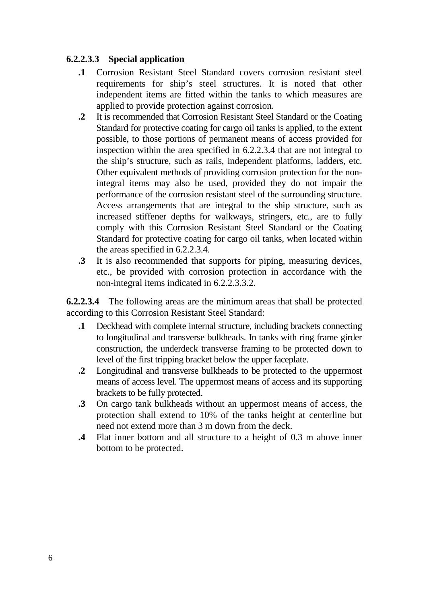## **6.2.2.3.3 Special application**

- **.1** Corrosion Resistant Steel Standard covers corrosion resistant steel requirements for ship's steel structures. It is noted that other independent items are fitted within the tanks to which measures are applied to provide protection against corrosion.
- **.2** It is recommended that Corrosion Resistant Steel Standard or the Coating Standard for protective coating for cargo oil tanks is applied, to the extent possible, to those portions of permanent means of access provided for inspection within the area specified in 6.2.2.3.4 that are not integral to the ship's structure, such as rails, independent platforms, ladders, etc. Other equivalent methods of providing corrosion protection for the nonintegral items may also be used, provided they do not impair the performance of the corrosion resistant steel of the surrounding structure. Access arrangements that are integral to the ship structure, such as increased stiffener depths for walkways, stringers, etc., are to fully comply with this Corrosion Resistant Steel Standard or the Coating Standard for protective coating for cargo oil tanks, when located within the areas specified in 6.2.2.3.4.
- **.3** It is also recommended that supports for piping, measuring devices, etc., be provided with corrosion protection in accordance with the non-integral items indicated in 6.2.2.3.3.2.

**6.2.2.3.4** The following areas are the minimum areas that shall be protected according to this Corrosion Resistant Steel Standard:

- **.1** Deckhead with complete internal structure, including brackets connecting to longitudinal and transverse bulkheads. In tanks with ring frame girder construction, the underdeck transverse framing to be protected down to level of the first tripping bracket below the upper faceplate.
- **.2** Longitudinal and transverse bulkheads to be protected to the uppermost means of access level. The uppermost means of access and its supporting brackets to be fully protected.
- **.3** On cargo tank bulkheads without an uppermost means of access, the protection shall extend to 10% of the tanks height at centerline but need not extend more than 3 m down from the deck.
- **.4** Flat inner bottom and all structure to a height of 0.3 m above inner bottom to be protected.